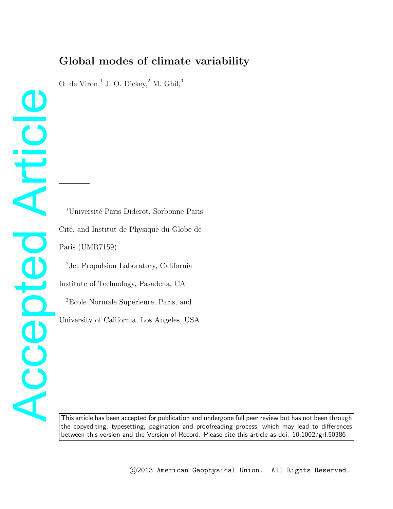# **Global modes of climate variability**

O. de Viron, $1$  J. O. Dickey, $2$  M. Ghil, $3$ 

<sup>1</sup>Université Paris Diderot, Sorbonne Paris Cité, and Institut de Physique du Globe de Paris (UMR7159)

Accepted Article

Accepted

Articl

<sup>2</sup>Jet Propulsion Laboratory, California Institute of Technology, Pasadena, CA <sup>3</sup>Ecole Normale Supérieure, Paris, and University of California, Los Angeles, USA

This article has been accepted for publication and undergone full peer review but has not been through the copyediting, typesetting, pagination and proofreading process, which may lead to differences between this version and the Version of Record. Please cite this article as doi: 10.1002/grl.50386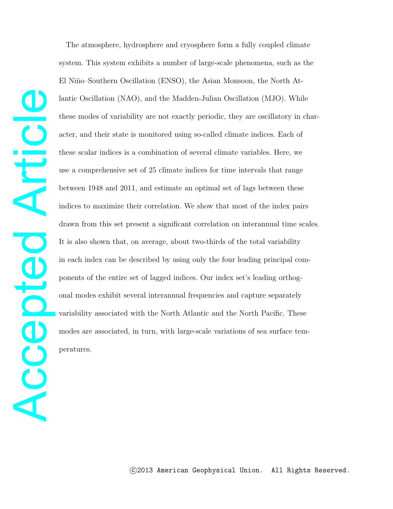The atmosphere, hydrosphere and cryosphere form a fully coupled climate system. This system exhibits a number of large-scale phenomena, such as the El Niño–Southern Oscillation (ENSO), the Asian Monsoon, the North Atlantic Oscillation (NAO), and the Madden-Julian Oscillation (MJO). While these modes of variability are not exactly periodic, they are oscillatory in character, and their state is monitored using so-called climate indices. Each of these scalar indices is a combination of several climate variables. Here, we use a comprehensive set of 25 climate indices for time intervals that range between 1948 and 2011, and estimate an optimal set of lags between these indices to maximize their correlation. We show that most of the index pairs drawn from this set present a significant correlation on interannual time scales. It is also shown that, on average, about two-thirds of the total variability in each index can be described by using only the four leading principal components of the entire set of lagged indices. Our index set's leading orthogonal modes exhibit several interannual frequencies and capture separately variability associated with the North Atlantic and the North Pacific. These modes are associated, in turn, with large-scale variations of sea surface temperatures.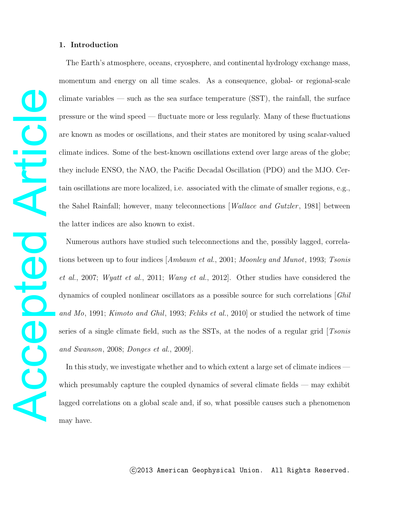## **1. Introduction**

The Earth's atmosphere, oceans, cryosphere, and continental hydrology exchange mass, momentum and energy on all time scales. As a consequence, global- or regional-scale climate variables — such as the sea surface temperature (SST), the rainfall, the surface pressure or the wind speed — fluctuate more or less regularly. Many of these fluctuations are known as modes or oscillations, and their states are monitored by using scalar-valued climate indices. Some of the best-known oscillations extend over large areas of the globe; they include ENSO, the NAO, the Pacific Decadal Oscillation (PDO) and the MJO. Certain oscillations are more localized, i.e. associated with the climate of smaller regions, e.g., the Sahel Rainfall; however, many teleconnections [*Wallace and Gutzler*, 1981] between the latter indices are also known to exist.

Numerous authors have studied such teleconnections and the, possibly lagged, correlations between up to four indices [Ambaum et al., 2001; Moonley and Munot, 1993; Tsonis et al., 2007; Wyatt et al., 2011; Wang et al., 2012]. Other studies have considered the dynamics of coupled nonlinear oscillators as a possible source for such correlations [Ghil and Mo, 1991; Kimoto and Ghil, 1993; Feliks et al., 2010] or studied the network of time series of a single climate field, such as the SSTs, at the nodes of a regular grid  $[Tsonis$ and Swanson, 2008; Donges et al., 2009].

In this study, we investigate whether and to which extent a large set of climate indices which presumably capture the coupled dynamics of several climate fields — may exhibit lagged correlations on a global scale and, if so, what possible causes such a phenomenon may have.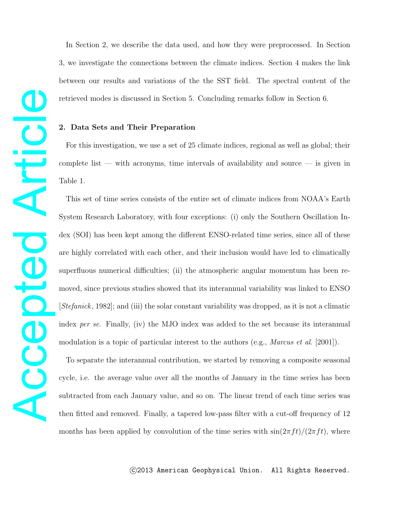Accepted Article Artici Accepted

In Section 2, we describe the data used, and how they were preprocessed. In Section 3, we investigate the connections between the climate indices. Section 4 makes the link between our results and variations of the the SST field. The spectral content of the retrieved modes is discussed in Section 5. Concluding remarks follow in Section 6.

## **2. Data Sets and Their Preparation**

For this investigation, we use a set of 25 climate indices, regional as well as global; their complete list — with acronyms, time intervals of availability and source — is given in Table 1.

This set of time series consists of the entire set of climate indices from NOAA's Earth System Research Laboratory, with four exceptions: (i) only the Southern Oscillation Index (SOI) has been kept among the different ENSO-related time series, since all of these are highly correlated with each other, and their inclusion would have led to climatically superfluous numerical difficulties; (ii) the atmospheric angular momentum has been removed, since previous studies showed that its interannual variability was linked to ENSO [Stefanick, 1982]; and (iii) the solar constant variability was dropped, as it is not a climatic index per se. Finally, (iv) the MJO index was added to the set because its interannual modulation is a topic of particular interest to the authors (e.g., *Marcus et al.* [2001]).

To separate the interannual contribution, we started by removing a composite seasonal cycle, i.e. the average value over all the months of January in the time series has been subtracted from each January value, and so on. The linear trend of each time series was then fitted and removed. Finally, a tapered low-pass filter with a cut-off frequency of 12 months has been applied by convolution of the time series with  $\sin(2\pi ft)/(2\pi ft)$ , where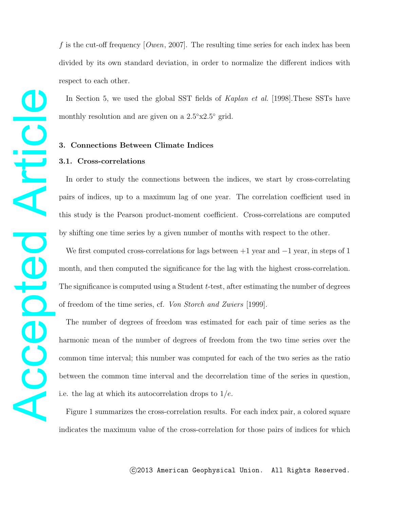f is the cut-off frequency  $[Owen, 2007]$ . The resulting time series for each index has been divided by its own standard deviation, in order to normalize the different indices with respect to each other.

In Section 5, we used the global SST fields of Kaplan et al. [1998].These SSTs have monthly resolution and are given on a  $2.5°x2.5°$  grid.

# **3. Connections Between Climate Indices**

## **3.1. Cross-correlations**

In order to study the connections between the indices, we start by cross-correlating pairs of indices, up to a maximum lag of one year. The correlation coefficient used in this study is the Pearson product-moment coefficient. Cross-correlations are computed by shifting one time series by a given number of months with respect to the other.

We first computed cross-correlations for lags between  $+1$  year and  $-1$  year, in steps of 1 month, and then computed the significance for the lag with the highest cross-correlation. The significance is computed using a Student t-test, after estimating the number of degrees of freedom of the time series, cf. Von Storch and Zwiers [1999].

The number of degrees of freedom was estimated for each pair of time series as the harmonic mean of the number of degrees of freedom from the two time series over the common time interval; this number was computed for each of the two series as the ratio between the common time interval and the decorrelation time of the series in question, i.e. the lag at which its autocorrelation drops to  $1/e$ .

Figure 1 summarizes the cross-correlation results. For each index pair, a colored square indicates the maximum value of the cross-correlation for those pairs of indices for which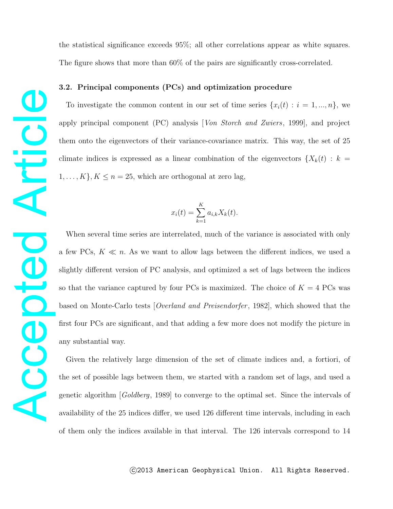Accepted Article Articl Acepted

the statistical significance exceeds 95%; all other correlations appear as white squares. The figure shows that more than 60% of the pairs are significantly cross-correlated.

# **3.2. Principal components (PCs) and optimization procedure**

To investigate the common content in our set of time series  $\{x_i(t) : i = 1, ..., n\}$ , we apply principal component (PC) analysis [Von Storch and Zwiers, 1999], and project them onto the eigenvectors of their variance-covariance matrix. This way, the set of 25 climate indices is expressed as a linear combination of the eigenvectors  $\{X_k(t): k =$  $1, \ldots, K$ ,  $K \leq n = 25$ , which are orthogonal at zero lag,

$$
x_i(t) = \sum_{k=1}^K a_{i,k} X_k(t).
$$

When several time series are interrelated, much of the variance is associated with only a few PCs,  $K \ll n$ . As we want to allow lags between the different indices, we used a slightly different version of PC analysis, and optimized a set of lags between the indices so that the variance captured by four PCs is maximized. The choice of  $K = 4$  PCs was based on Monte-Carlo tests [*Overland and Preisendorfer*, 1982], which showed that the first four PCs are significant, and that adding a few more does not modify the picture in any substantial way.

Given the relatively large dimension of the set of climate indices and, a fortiori, of the set of possible lags between them, we started with a random set of lags, and used a genetic algorithm [Goldberg, 1989] to converge to the optimal set. Since the intervals of availability of the 25 indices differ, we used 126 different time intervals, including in each of them only the indices available in that interval. The 126 intervals correspond to 14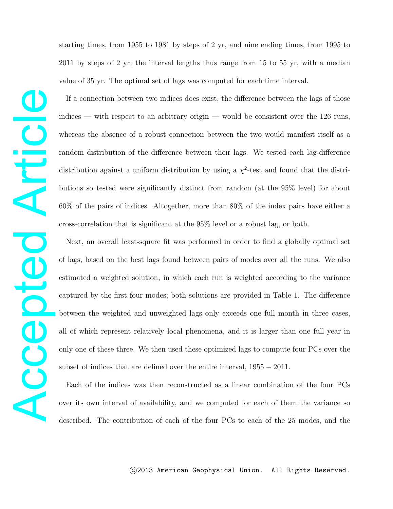starting times, from 1955 to 1981 by steps of 2 yr, and nine ending times, from 1995 to 2011 by steps of 2 yr; the interval lengths thus range from 15 to 55 yr, with a median value of 35 yr. The optimal set of lags was computed for each time interval.

If a connection between two indices does exist, the difference between the lags of those indices — with respect to an arbitrary origin — would be consistent over the 126 runs, whereas the absence of a robust connection between the two would manifest itself as a random distribution of the difference between their lags. We tested each lag-difference distribution against a uniform distribution by using a  $\chi^2$ -test and found that the distributions so tested were significantly distinct from random (at the 95% level) for about 60% of the pairs of indices. Altogether, more than 80% of the index pairs have either a cross-correlation that is significant at the 95% level or a robust lag, or both.

Next, an overall least-square fit was performed in order to find a globally optimal set of lags, based on the best lags found between pairs of modes over all the runs. We also estimated a weighted solution, in which each run is weighted according to the variance captured by the first four modes; both solutions are provided in Table 1. The difference between the weighted and unweighted lags only exceeds one full month in three cases, all of which represent relatively local phenomena, and it is larger than one full year in only one of these three. We then used these optimized lags to compute four PCs over the subset of indices that are defined over the entire interval,  $1955 − 2011$ .

Each of the indices was then reconstructed as a linear combination of the four PCs over its own interval of availability, and we computed for each of them the variance so described. The contribution of each of the four PCs to each of the 25 modes, and the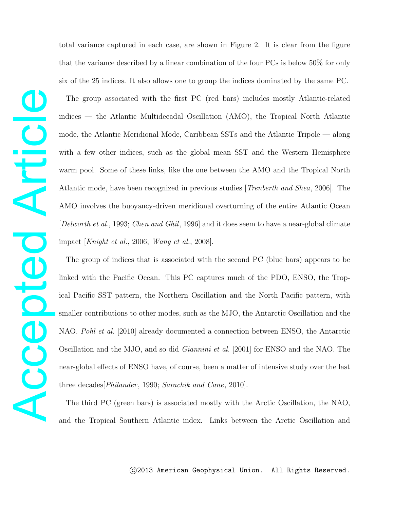total variance captured in each case, are shown in Figure 2. It is clear from the figure that the variance described by a linear combination of the four PCs is below 50% for only six of the 25 indices. It also allows one to group the indices dominated by the same PC.

The group associated with the first PC (red bars) includes mostly Atlantic-related indices — the Atlantic Multidecadal Oscillation (AMO), the Tropical North Atlantic mode, the Atlantic Meridional Mode, Caribbean SSTs and the Atlantic Tripole — along with a few other indices, such as the global mean SST and the Western Hemisphere warm pool. Some of these links, like the one between the AMO and the Tropical North Atlantic mode, have been recognized in previous studies [Trenberth and Shea, 2006]. The AMO involves the buoyancy-driven meridional overturning of the entire Atlantic Ocean [Delworth et al., 1993; Chen and Ghil, 1996] and it does seem to have a near-global climate impact [Knight et al., 2006; Wang et al., 2008].

The group of indices that is associated with the second PC (blue bars) appears to be linked with the Pacific Ocean. This PC captures much of the PDO, ENSO, the Tropical Pacific SST pattern, the Northern Oscillation and the North Pacific pattern, with smaller contributions to other modes, such as the MJO, the Antarctic Oscillation and the NAO. Pohl et al. [2010] already documented a connection between ENSO, the Antarctic Oscillation and the MJO, and so did Giannini et al. [2001] for ENSO and the NAO. The near-global effects of ENSO have, of course, been a matter of intensive study over the last three decades *Philander*, 1990; Sarachik and Cane, 2010.

The third PC (green bars) is associated mostly with the Arctic Oscillation, the NAO, and the Tropical Southern Atlantic index. Links between the Arctic Oscillation and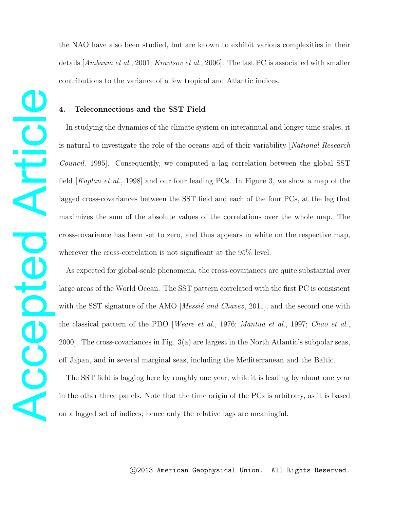the NAO have also been studied, but are known to exhibit various complexities in their details [Ambaum et al., 2001; Kravtsov et al., 2006]. The last PC is associated with smaller contributions to the variance of a few tropical and Atlantic indices.

## **4. Teleconnections and the SST Field**

Accepted Article

Acepted

Article

In studying the dynamics of the climate system on interannual and longer time scales, it is natural to investigate the role of the oceans and of their variability [National Research Council, 1995]. Consequently, we computed a lag correlation between the global SST field [Kaplan et al., 1998] and our four leading PCs. In Figure 3, we show a map of the lagged cross-covariances between the SST field and each of the four PCs, at the lag that maximizes the sum of the absolute values of the correlations over the whole map. The cross-covariance has been set to zero, and thus appears in white on the respective map, wherever the cross-correlation is not significant at the 95% level.

As expected for global-scale phenomena, the cross-covariances are quite substantial over large areas of the World Ocean. The SST pattern correlated with the first PC is consistent with the SST signature of the AMO [*Messic* and *Chavez*, 2011], and the second one with the classical pattern of the PDO [Weare et al., 1976; Mantua et al., 1997; Chao et al., 2000]. The cross-covariances in Fig. 3(a) are largest in the North Atlantic's subpolar seas, off Japan, and in several marginal seas, including the Mediterranean and the Baltic.

The SST field is lagging here by roughly one year, while it is leading by about one year in the other three panels. Note that the time origin of the PCs is arbitrary, as it is based on a lagged set of indices; hence only the relative lags are meaningful.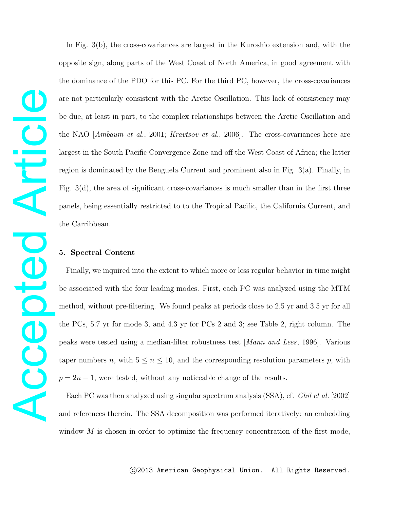In Fig. 3(b), the cross-covariances are largest in the Kuroshio extension and, with the opposite sign, along parts of the West Coast of North America, in good agreement with the dominance of the PDO for this PC. For the third PC, however, the cross-covariances are not particularly consistent with the Arctic Oscillation. This lack of consistency may be due, at least in part, to the complex relationships between the Arctic Oscillation and the NAO [Ambaum et al., 2001; Kravtsov et al., 2006]. The cross-covariances here are largest in the South Pacific Convergence Zone and off the West Coast of Africa; the latter region is dominated by the Benguela Current and prominent also in Fig. 3(a). Finally, in Fig.  $3(d)$ , the area of significant cross-covariances is much smaller than in the first three panels, being essentially restricted to to the Tropical Pacific, the California Current, and the Carribbean.

## **5. Spectral Content**

Finally, we inquired into the extent to which more or less regular behavior in time might be associated with the four leading modes. First, each PC was analyzed using the MTM method, without pre-filtering. We found peaks at periods close to 2.5 yr and 3.5 yr for all the PCs, 5.7 yr for mode 3, and 4.3 yr for PCs 2 and 3; see Table 2, right column. The peaks were tested using a median-filter robustness test [Mann and Lees, 1996]. Various taper numbers n, with  $5 \le n \le 10$ , and the corresponding resolution parameters p, with  $p = 2n - 1$ , were tested, without any noticeable change of the results.

Each PC was then analyzed using singular spectrum analysis (SSA), cf. Ghil et al. [2002] and references therein. The SSA decomposition was performed iteratively: an embedding window  $M$  is chosen in order to optimize the frequency concentration of the first mode,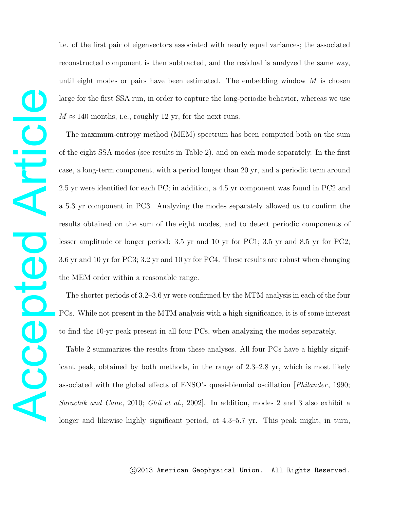i.e. of the first pair of eigenvectors associated with nearly equal variances; the associated reconstructed component is then subtracted, and the residual is analyzed the same way, until eight modes or pairs have been estimated. The embedding window  $M$  is chosen large for the first SSA run, in order to capture the long-periodic behavior, whereas we use  $M \approx 140$  months, i.e., roughly 12 yr, for the next runs.

The maximum-entropy method (MEM) spectrum has been computed both on the sum of the eight SSA modes (see results in Table 2), and on each mode separately. In the first case, a long-term component, with a period longer than 20 yr, and a periodic term around 2.5 yr were identified for each PC; in addition, a 4.5 yr component was found in PC2 and a 5.3 yr component in PC3. Analyzing the modes separately allowed us to confirm the results obtained on the sum of the eight modes, and to detect periodic components of lesser amplitude or longer period: 3.5 yr and 10 yr for PC1; 3.5 yr and 8.5 yr for PC2; 3.6 yr and 10 yr for PC3; 3.2 yr and 10 yr for PC4. These results are robust when changing the MEM order within a reasonable range.

The shorter periods of 3.2–3.6 yr were confirmed by the MTM analysis in each of the four PCs. While not present in the MTM analysis with a high significance, it is of some interest to find the 10-yr peak present in all four PCs, when analyzing the modes separately.

Table 2 summarizes the results from these analyses. All four PCs have a highly significant peak, obtained by both methods, in the range of 2.3–2.8 yr, which is most likely associated with the global effects of ENSO's quasi-biennial oscillation  $[Philander, 1990;$ Sarachik and Cane, 2010; Ghil et al., 2002. In addition, modes 2 and 3 also exhibit a longer and likewise highly significant period, at 4.3–5.7 yr. This peak might, in turn,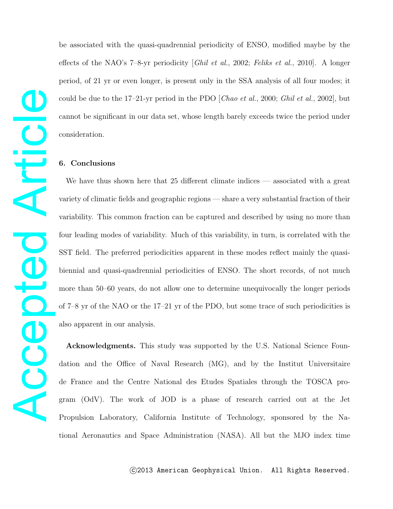be associated with the quasi-quadrennial periodicity of ENSO, modified maybe by the effects of the NAO's 7–8-yr periodicity [Ghil et al., 2002; Feliks et al., 2010]. A longer period, of 21 yr or even longer, is present only in the SSA analysis of all four modes; it could be due to the 17–21-yr period in the PDO  $[Chao et al., 2000; Ghil et al., 2002]$ , but cannot be significant in our data set, whose length barely exceeds twice the period under consideration.

## **6. Conclusions**

We have thus shown here that 25 different climate indices — associated with a great variety of climatic fields and geographic regions — share a very substantial fraction of their variability. This common fraction can be captured and described by using no more than four leading modes of variability. Much of this variability, in turn, is correlated with the SST field. The preferred periodicities apparent in these modes reflect mainly the quasibiennial and quasi-quadrennial periodicities of ENSO. The short records, of not much more than 50–60 years, do not allow one to determine unequivocally the longer periods of 7–8 yr of the NAO or the 17–21 yr of the PDO, but some trace of such periodicities is also apparent in our analysis.

**Acknowledgments.** This study was supported by the U.S. National Science Foundation and the Office of Naval Research (MG), and by the Institut Universitaire de France and the Centre National des Etudes Spatiales through the TOSCA program (OdV). The work of JOD is a phase of research carried out at the Jet Propulsion Laboratory, California Institute of Technology, sponsored by the National Aeronautics and Space Administration (NASA). All but the MJO index time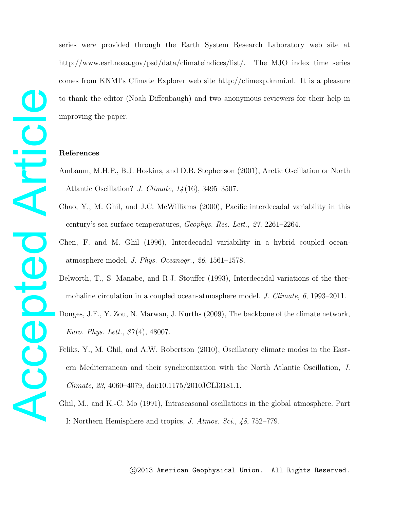series were provided through the Earth System Research Laboratory web site at http://www.esrl.noaa.gov/psd/data/climateindices/list/. The MJO index time series comes from KNMI's Climate Explorer web site http://climexp.knmi.nl. It is a pleasure to thank the editor (Noah Diffenbaugh) and two anonymous reviewers for their help in improving the paper.

#### **References**

- Ambaum, M.H.P., B.J. Hoskins, and D.B. Stephenson (2001), Arctic Oscillation or North Atlantic Oscillation? J. Climate, 14 (16), 3495–3507.
- Chao, Y., M. Ghil, and J.C. McWilliams (2000), Pacific interdecadal variability in this century's sea surface temperatures, Geophys. Res. Lett., 27, 2261–2264.
- Chen, F. and M. Ghil (1996), Interdecadal variability in a hybrid coupled oceanatmosphere model, J. Phys. Oceanogr., 26, 1561–1578.
- Delworth, T., S. Manabe, and R.J. Stouffer (1993), Interdecadal variations of the thermohaline circulation in a coupled ocean-atmosphere model. J. Climate, 6, 1993–2011.

Donges, J.F., Y. Zou, N. Marwan, J. Kurths (2009), The backbone of the climate network, Euro. Phys. Lett., 87 (4), 48007.

- Feliks, Y., M. Ghil, and A.W. Robertson (2010), Oscillatory climate modes in the Eastern Mediterranean and their synchronization with the North Atlantic Oscillation, J. Climate, 23, 4060–4079, doi:10.1175/2010JCLI3181.1.
- Ghil, M., and K.-C. Mo (1991), Intraseasonal oscillations in the global atmosphere. Part I: Northern Hemisphere and tropics, J. Atmos. Sci., 48, 752–779.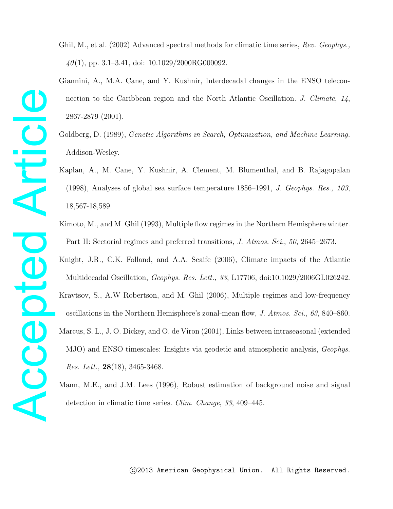Ghil, M., et al. (2002) Advanced spectral methods for climatic time series, Rev. Geophys.  $40(1)$ , pp. 3.1–3.41, doi: 10.1029/2000RG000092.

- Giannini, A., M.A. Cane, and Y. Kushnir, Interdecadal changes in the ENSO teleconnection to the Caribbean region and the North Atlantic Oscillation. J. Climate, 14, 2867-2879 (2001).
- Goldberg, D. (1989), *Genetic Algorithms in Search, Optimization, and Machine Learning.* Addison-Wesley.
- Kaplan, A., M. Cane, Y. Kushnir, A. Clement, M. Blumenthal, and B. Rajagopalan (1998), Analyses of global sea surface temperature 1856–1991, J. Geophys. Res., 103, 18,567-18,589.
- Kimoto, M., and M. Ghil (1993), Multiple flow regimes in the Northern Hemisphere winter. Part II: Sectorial regimes and preferred transitions, J. Atmos. Sci., 50, 2645–2673.
- Knight, J.R., C.K. Folland, and A.A. Scaife (2006), Climate impacts of the Atlantic Multidecadal Oscillation, Geophys. Res. Lett., 33, L17706, doi:10.1029/2006GL026242. Kravtsov, S., A.W Robertson, and M. Ghil (2006), Multiple regimes and low-frequency oscillations in the Northern Hemisphere's zonal-mean flow, J. Atmos. Sci., 63, 840–860. Marcus, S. L., J. O. Dickey, and O. de Viron (2001), Links between intraseasonal (extended MJO) and ENSO timescales: Insights via geodetic and atmospheric analysis, Geophys. Res. Lett., **28**(18), 3465-3468.
- Mann, M.E., and J.M. Lees (1996), Robust estimation of background noise and signal detection in climatic time series. Clim. Change, 33, 409–445.

Accepted Article **Acepted Artic**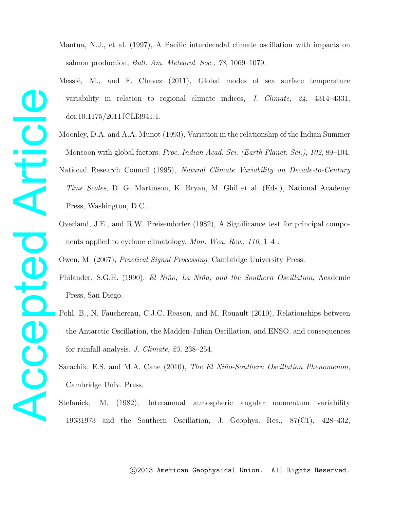Mantua, N.J., et al. (1997), A Pacific interdecadal climate oscillation with impacts on salmon production, Bull. Am. Meteorol. Soc., 78, 1069–1079.

- Messié, M., and F. Chavez (2011), Global modes of sea surface temperature variability in relation to regional climate indices, J. Climate,  $24$ ,  $4314-4331$ , doi:10.1175/2011JCLI3941.1.
- Moonley, D.A. and A.A. Munot (1993), Variation in the relationship of the Indian Summer Monsoon with global factors. Proc. Indian Acad. Sci. (Earth Planet. Sci.), 102, 89–104. National Research Council (1995), Natural Climate Variability on Decade-to-Century Time Scales, D. G. Martinson, K. Bryan, M. Ghil et al. (Eds.), National Academy Press, Washington, D.C..
- Overland, J.E., and R.W. Preisendorfer (1982), A Significance test for principal components applied to cyclone climatology. Mon. Wea. Rev., 110, 1–4 .

Owen, M. (2007), Practical Signal Processing, Cambridge University Press.

- Philander, S.G.H. (1990), El Niño, La Niña, and the Southern Oscillation, Academic Press, San Diego.
- Pohl, B., N. Fauchereau, C.J.C. Reason, and M. Rouault (2010), Relationships between the Antarctic Oscillation, the Madden-Julian Oscillation, and ENSO, and consequences for rainfall analysis. J. Climate, 23, 238–254.
- Sarachik, E.S. and M.A. Cane (2010), The El Niño-Southern Oscillation Phenomenon, Cambridge Univ. Press.
- Stefanick, M. (1982), Interannual atmospheric angular momentum variability 19631973 and the Southern Oscillation, J. Geophys. Res., 87(C1), 428–432,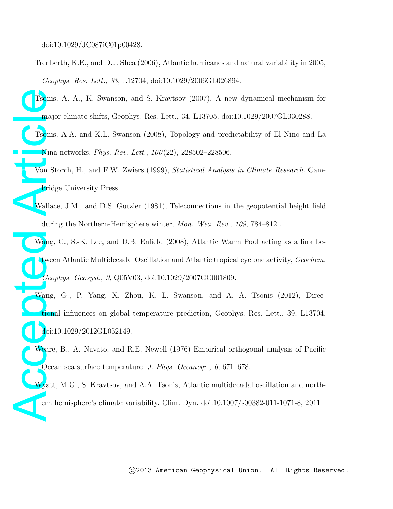doi:10.1029/JC087iC01p00428.

Trenberth, K.E., and D.J. Shea (2006), Atlantic hurricanes and natural variability in 2005, Geophys. Res. Lett., 33, L12704, doi:10.1029/2006GL026894.

Tsonis, A. A., K. Swanson, and S. Kravtsov (2007), A new dynamical mechanism for major climate shifts, Geophys. Res. Lett., 34, L13705, doi:10.1029/2007GL030288.

Tsonis, A.A. and K.L. Swanson (2008), Topology and predictability of El Niño and La Niña networks, *Phys. Rev. Lett.*, 100(22), 228502-228506.

Von Storch, H., and F.W. Zwiers (1999), Statistical Analysis in Climate Research. Cambridge University Press.

Wallace, J.M., and D.S. Gutzler (1981), Teleconnections in the geopotential height field during the Northern-Hemisphere winter, Mon. Wea. Rev., 109, 784–812 .

Tsonis<br>
maje<br>
Tsonis<br>
Niña<br>
Von Si<br>
brid<br>
Wallac<br>
duri<br>
Wang,<br>
doi:1<br>
Weare<br>
Ceo;<br>
Weare<br>
Ceo;<br>
Niña<br>
duri<br>
duri<br>
duri<br>
duri<br>
duri<br>
duri<br>
duri<br>
duri<br>
duri<br>
duri<br>
duri<br>
duri<br>
duri<br>
duri<br>
duri<br>
duri<br>
duri<br>
duri<br>
duri<br>
duri<br> Wang, C., S.-K. Lee, and D.B. Enfield (2008), Atlantic Warm Pool acting as a link between Atlantic Multidecadal Oscillation and Atlantic tropical cyclone activity, Geochem. Geophys. Geosyst., 9, Q05V03, doi:10.1029/2007GC001809.

Wang, G., P. Yang, X. Zhou, K. L. Swanson, and A. A. Tsonis (2012), Directional influences on global temperature prediction, Geophys. Res. Lett., 39, L13704, doi:10.1029/2012GL052149.

Weare, B., A. Navato, and R.E. Newell (1976) Empirical orthogonal analysis of Pacific Ocean sea surface temperature. J. Phys. Oceanogr., 6, 671–678.

Wyatt, M.G., S. Kravtsov, and A.A. Tsonis, Atlantic multidecadal oscillation and northern hemisphere's climate variability. Clim. Dyn. doi:10.1007/s00382-011-1071-8, 2011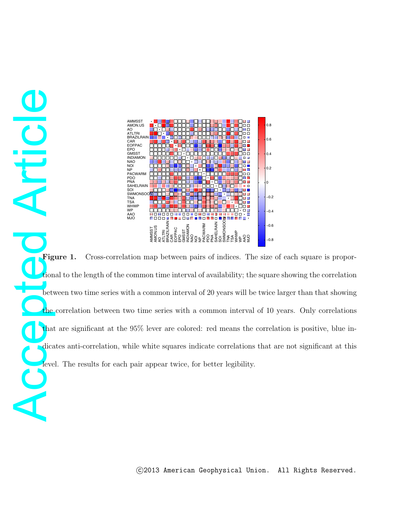

ACCEPTED MANUSCRIPT AND MANUSCRIPT AND MANUSCRIPT ACCEPTED AND MANUSCRIPT ACCEPTED MANUSCRIPT ACCEPTED MANUSCRIPT ACCEPTED MANUSCRIPT ACCEPTED MANUSCRIPT ACCEPTED MANUSCRIPT ACCEPTED MANUSCRIPT ACCEPTED MANUSCRIPT ACCEPTED Figure 1. Cross-correlation map between pairs of indices. The size of each square is proportional to the length of the common time interval of availability; the square showing the correlation between two time series with a common interval of 20 years will be twice larger than that showing the correlation between two time series with a common interval of 10 years. Only correlations that are significant at the 95% lever are colored: red means the correlation is positive, blue indicates anti-correlation, while white squares indicate correlations that are not significant at this level. The results for each pair appear twice, for better legibility.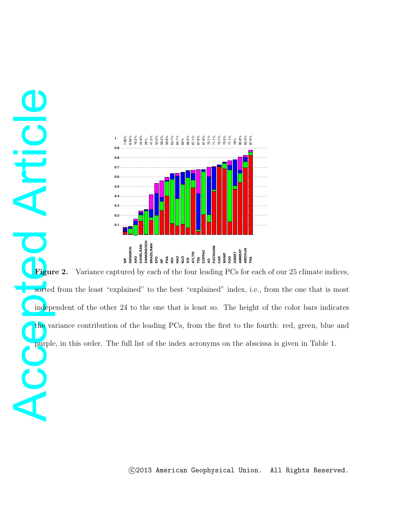

**Articl** 

**Accepted** Article Chiefer Chiefer Article Chief value of Article Chief value of Article Chief value of Article Chief value of Article Chief value of Article Chief value of Article Chief value of Article Chief value of Art Figure 2. Variance captured by each of the four leading PCs for each of our 25 climate indices, sorted from the least "explained" to the best "explained" index, i.e., from the one that is most independent of the other 24 to the one that is least so. The height of the color bars indicates the variance contribution of the leading PCs, from the first to the fourth: red, green, blue and purple, in this order. The full list of the index acronyms on the abscissa is given in Table 1.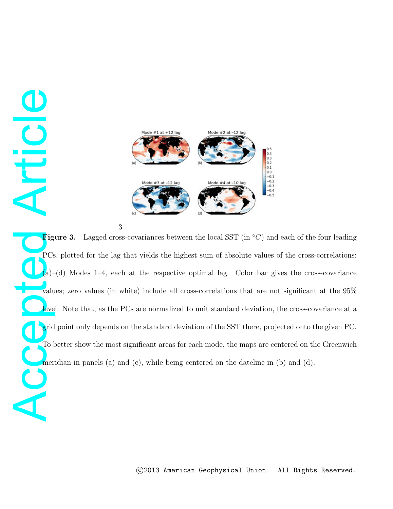Mode  $#1$  at  $+12$  lag Mode #2 at  $-12$  lag  $\begin{bmatrix} 0.1 \\ 0.0 \end{bmatrix}$  $-0.1$ <br>  $-0.2$ <br>  $-0.3$ <br>  $-0.4$ <br>  $-0.5$ Mode #4 at -10 k

3

**Cic** 

**ACCEPTED ACCEPTED Figure 3.** Lagged cross-covariances between the local SST (in ◦C) and each of the four leading PCs, plotted for the lag that yields the highest sum of absolute values of the cross-correlations:  $(a)$ –(d) Modes 1–4, each at the respective optimal lag. Color bar gives the cross-covariance values; zero values (in white) include all cross-correlations that are not significant at the 95% level. Note that, as the PCs are normalized to unit standard deviation, the cross-covariance at a grid point only depends on the standard deviation of the SST there, projected onto the given PC. To better show the most significant areas for each mode, the maps are centered on the Greenwich meridian in panels (a) and (c), while being centered on the dateline in (b) and (d).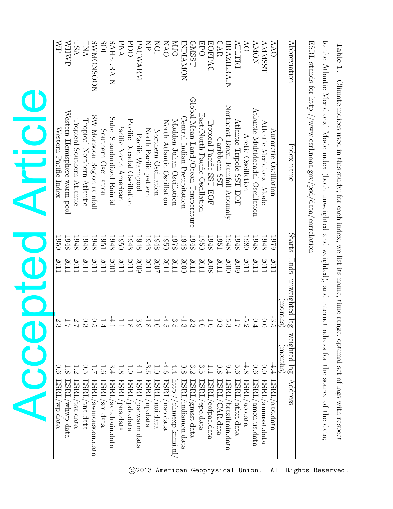|              | <b>AN</b>                         | <b>MHWP</b>                  | <b>TSA</b>                 | <b>ANT</b>                 | <b>NOOSNOMAS</b>           | SOI                  | <b>SAHELRAIN</b>            | PNA                             | <b>PDO</b>                  | PACWARM              | KP                    | ION                  | <b>OVN</b>                 | <b>OTN</b>                 | <b>INDIANON</b>              | <b>GNSST</b>                       | <b>DPO</b>                     | <b>EOFPAC</b>            | CAR              | <b>BRAZILRAIN</b>                 | ATLTRI                   | $\delta$                    | <b>AMON</b>                       | <b>AMMSST</b>            | <b>AAO</b>            | <b>Abbreviation</b>       |
|--------------|-----------------------------------|------------------------------|----------------------------|----------------------------|----------------------------|----------------------|-----------------------------|---------------------------------|-----------------------------|----------------------|-----------------------|----------------------|----------------------------|----------------------------|------------------------------|------------------------------------|--------------------------------|--------------------------|------------------|-----------------------------------|--------------------------|-----------------------------|-----------------------------------|--------------------------|-----------------------|---------------------------|
| <b>VITIC</b> | Western Pacific Index             | Western Hemisphere warm pool | Tropical Southern Atlantic | Tropical Northern Atlantic | SW Monsoon Region rainfall | Southern Oscillation | Sahel Standardized Rainfall | Pacific North American          | Pacific Decadal Oscillation | Pacific Warmpool     | North Pacific pattern | Northern Oscillation | North Atlantic Oscillation | Madden-Julian Oscillation  | Central Indian Precipitation | Global Mean Land/Ocean Temperature | East/North Pacific Oscillation | Tropical Pacific SST EOF | Caribbean SST    | Northeast Brazil Rainfall Anomaly | Atlantic Tripole SST EOF | Arctic Oscillation          | Atlantic Multidecadal Oscillation | Atlantic Meridional Mode | Antarctic Oscillation | Index name                |
|              | 1950                              | 1948                         | 1948                       | 1948                       | 1948                       | 1951                 | 1948                        | 1950                            | 1948                        | 1948                 | 1948                  | 1948                 | 1950                       | <b>1978</b>                | 1948                         | 1948                               | 1950                           | 1948                     | 1951             | 1948                              | 1948                     | 1980                        | 1948                              | 1948                     | 6261                  | Starts Ends               |
|              | 2011                              | 2011                         | 2011                       | 2011                       | 2011                       | 2011                 | 2001                        | 2011                            | <b>2011</b>                 | 2009                 | 2011                  | 2002                 | 2011                       | 2011                       | 2000                         | 2011                               | 2011                           | 2008                     | 2011             | 2000                              | 2009                     | 2011                        | 2011                              | 102                      | 2011                  |                           |
| OTC<br>C     | $-2.3$                            | 1.7                          |                            | $0.52$<br>$2.7$            |                            | 1.4                  | $-4.1$                      | $\overline{L}$ . $\overline{L}$ | $1.8$                       |                      | $-1.8$<br>3.9         | 1.0                  | $-4.5$                     | $\frac{1}{3} \frac{3}{12}$ |                              | 2.3                                | 4.0                            | $1.0$                    | $-0.3$           | 5.3                               |                          | $-0.71$<br>4.3<br>4.3<br>1. |                                   | 0.0                      | لن<br>ت               | unweighted lag<br>months) |
|              | $\frac{1}{9}$                     |                              |                            | ں<br>ה                     |                            |                      | 3.4                         |                                 |                             |                      | $\ddot{c}$            |                      |                            |                            | 0.8                          |                                    |                                |                          |                  | 9.4                               | $-5.6$                   |                             |                                   | $\overline{0}$           | 4.4                   | weighted lag<br>months    |
|              | $\operatorname{ESRL}$<br>/wp.data | ESRL<br>whwp.data            | ESRL,<br>tsa.data          | ESRL,<br>'tna.data         | ESRL.<br>swnonsoon.data    | ESRL.<br>soi.data    | ESRL<br>sahelrain.data      | ESRL<br>pna.data                | ESRL.<br>pdo.data           | ESRL<br>pacwarm.data | ESRL.<br>/np.data     | ESRL<br>noi.data     | ESRL<br>nao.data           | http:/<br>climexp.knmi.n   | ESRL<br>indiamon.data        | ESRL,<br>gmsst.data                | ESRL.<br>epo.data              | ESRL<br>eorpac.data      | ESRL<br>CAR.data | ESRL<br>brazilrain.data           | ESRL<br>atltri.data      | ESRL<br>ao.data             | ESRL,<br>amon.us.data             | ESRL<br>annnsst.data     | ESRL<br>aao.data      | Address                   |

**Table 1.** Climate indices used in this study; for each index, we list its name, time range, optimal set of lags with respect ESRL stands for http://www.esrl.noaa.gov/psd/data/correlation the Atlantic Meridional Mode index (both unweighted and weighted), and internet adress for the source ofthe data;

to

© 2013 American Geophysical Union. All Rights Reserved.